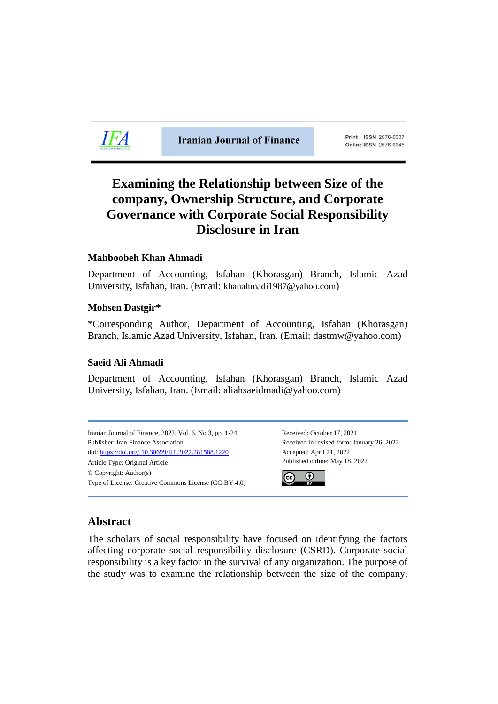

**Iranian Journal of Finance** 

Print ISSN 2676-6337 Online ISSN 2676-6345

# **Examining the Relationship between Size of the company, Ownership Structure, and Corporate Governance with Corporate Social Responsibility Disclosure in Iran**

# **Mahboobeh Khan Ahmadi**

Department of Accounting, Isfahan (Khorasgan) Branch, Islamic Azad University, Isfahan, Iran. (Email: khanahmadi1987@yahoo.com)

# **Mohsen Dastgir\***

\*Corresponding Author, Department of Accounting, Isfahan (Khorasgan) Branch, Islamic Azad University, Isfahan, Iran. (Email: dastmw@yahoo.com)

# **Saeid Ali Ahmadi**

Department of Accounting, Isfahan (Khorasgan) Branch, Islamic Azad University, Isfahan, Iran. (Email: aliahsaeidmadi@yahoo.com)

Iranian Journal of Finance, 2022, Vol. 6, No.3, pp. 1-24 Received: October 17, 2021 Publisher: Iran Finance Association Received in revised form: January 26, 2022 doi: https://doi.org/ [10.30699/IJF.2022.281588.1220](https://doi.org/%2010.30699/IJF.2022.281588.1220) Accepted: April 21, 2022 Article Type: Original Article Published online: May 18, 2022 © Copyright: Author(s) Type of License: Creative Commons License (CC-BY 4.0)



# **Abstract**

The scholars of social responsibility have focused on identifying the factors affecting corporate social responsibility disclosure (CSRD). Corporate social responsibility is a key factor in the survival of any organization. The purpose of the study was to examine the relationship between the size of the company,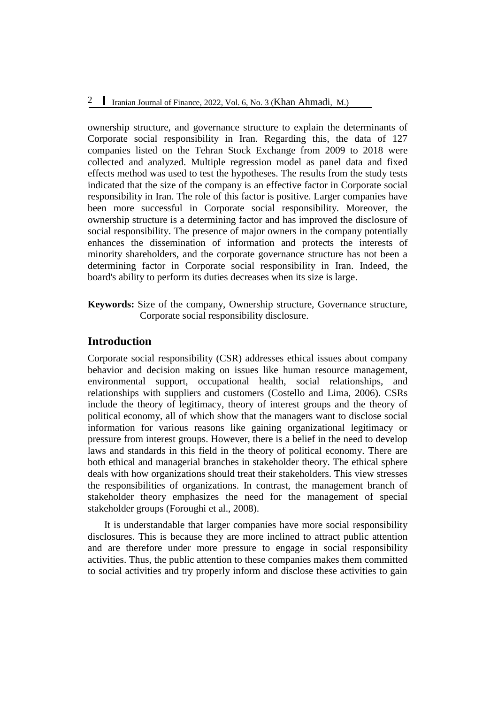ownership structure, and governance structure to explain the determinants of Corporate social responsibility in Iran. Regarding this, the data of 127 companies listed on the Tehran Stock Exchange from 2009 to 2018 were collected and analyzed. Multiple regression model as panel data and fixed effects method was used to test the hypotheses. The results from the study tests indicated that the size of the company is an effective factor in Corporate social responsibility in Iran. The role of this factor is positive. Larger companies have been more successful in Corporate social responsibility. Moreover, the ownership structure is a determining factor and has improved the disclosure of social responsibility. The presence of major owners in the company potentially enhances the dissemination of information and protects the interests of minority shareholders, and the corporate governance structure has not been a determining factor in Corporate social responsibility in Iran. Indeed, the board's ability to perform its duties decreases when its size is large.

**Keywords:** Size of the company, Ownership structure, Governance structure, Corporate social responsibility disclosure.

# **Introduction**

Corporate social responsibility (CSR) addresses ethical issues about company behavior and decision making on issues like human resource management, environmental support, occupational health, social relationships, and relationships with suppliers and customers (Costello and Lima, 2006). CSRs include the theory of legitimacy, theory of interest groups and the theory of political economy, all of which show that the managers want to disclose social information for various reasons like gaining organizational legitimacy or pressure from interest groups. However, there is a belief in the need to develop laws and standards in this field in the theory of political economy. There are both ethical and managerial branches in stakeholder theory. The ethical sphere deals with how organizations should treat their stakeholders. This view stresses the responsibilities of organizations. In contrast, the management branch of stakeholder theory emphasizes the need for the management of special stakeholder groups (Foroughi et al., 2008).

It is understandable that larger companies have more social responsibility disclosures. This is because they are more inclined to attract public attention and are therefore under more pressure to engage in social responsibility activities. Thus, the public attention to these companies makes them committed to social activities and try properly inform and disclose these activities to gain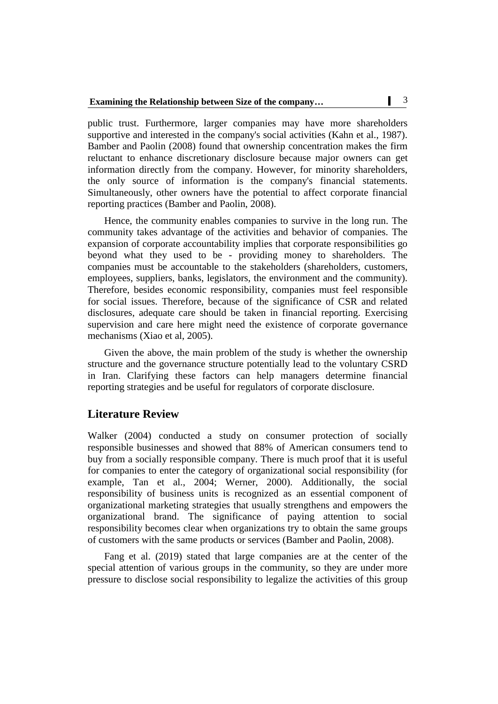public trust. Furthermore, larger companies may have more shareholders supportive and interested in the company's social activities (Kahn et al., 1987). Bamber and Paolin (2008) found that ownership concentration makes the firm reluctant to enhance discretionary disclosure because major owners can get information directly from the company. However, for minority shareholders, the only source of information is the company's financial statements. Simultaneously, other owners have the potential to affect corporate financial reporting practices (Bamber and Paolin, 2008).

Hence, the community enables companies to survive in the long run. The community takes advantage of the activities and behavior of companies. The expansion of corporate accountability implies that corporate responsibilities go beyond what they used to be - providing money to shareholders. The companies must be accountable to the stakeholders (shareholders, customers, employees, suppliers, banks, legislators, the environment and the community). Therefore, besides economic responsibility, companies must feel responsible for social issues. Therefore, because of the significance of CSR and related disclosures, adequate care should be taken in financial reporting. Exercising supervision and care here might need the existence of corporate governance mechanisms (Xiao et al, 2005).

Given the above, the main problem of the study is whether the ownership structure and the governance structure potentially lead to the voluntary CSRD in Iran. Clarifying these factors can help managers determine financial reporting strategies and be useful for regulators of corporate disclosure.

# **Literature Review**

Walker (2004) conducted a study on consumer protection of socially responsible businesses and showed that 88% of American consumers tend to buy from a socially responsible company. There is much proof that it is useful for companies to enter the category of organizational social responsibility (for example, Tan et al., 2004; Werner, 2000). Additionally, the social responsibility of business units is recognized as an essential component of organizational marketing strategies that usually strengthens and empowers the organizational brand. The significance of paying attention to social responsibility becomes clear when organizations try to obtain the same groups of customers with the same products or services (Bamber and Paolin, 2008).

Fang et al. (2019) stated that large companies are at the center of the special attention of various groups in the community, so they are under more pressure to disclose social responsibility to legalize the activities of this group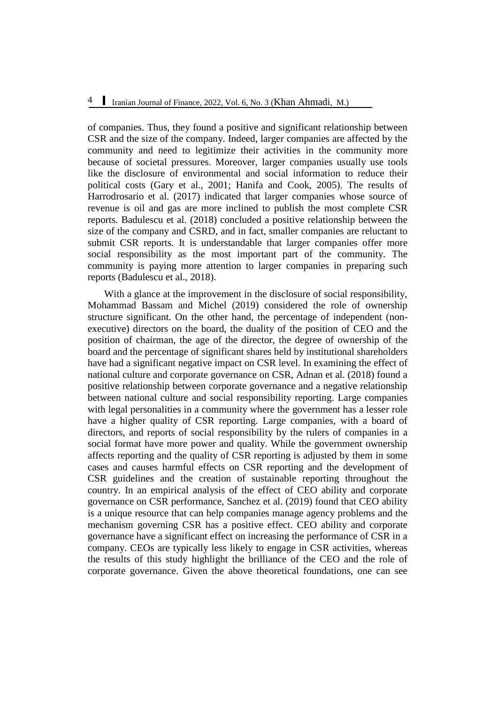of companies. Thus, they found a positive and significant relationship between CSR and the size of the company. Indeed, larger companies are affected by the community and need to legitimize their activities in the community more because of societal pressures. Moreover, larger companies usually use tools like the disclosure of environmental and social information to reduce their political costs (Gary et al., 2001; Hanifa and Cook, 2005). The results of Harrodrosario et al. (2017) indicated that larger companies whose source of revenue is oil and gas are more inclined to publish the most complete CSR reports. Badulescu et al. (2018) concluded a positive relationship between the size of the company and CSRD, and in fact, smaller companies are reluctant to submit CSR reports. It is understandable that larger companies offer more social responsibility as the most important part of the community. The community is paying more attention to larger companies in preparing such reports (Badulescu et al., 2018).

With a glance at the improvement in the disclosure of social responsibility, Mohammad Bassam and Michel (2019) considered the role of ownership structure significant. On the other hand, the percentage of independent (nonexecutive) directors on the board, the duality of the position of CEO and the position of chairman, the age of the director, the degree of ownership of the board and the percentage of significant shares held by institutional shareholders have had a significant negative impact on CSR level. In examining the effect of national culture and corporate governance on CSR, Adnan et al. (2018) found a positive relationship between corporate governance and a negative relationship between national culture and social responsibility reporting. Large companies with legal personalities in a community where the government has a lesser role have a higher quality of CSR reporting. Large companies, with a board of directors, and reports of social responsibility by the rulers of companies in a social format have more power and quality. While the government ownership affects reporting and the quality of CSR reporting is adjusted by them in some cases and causes harmful effects on CSR reporting and the development of CSR guidelines and the creation of sustainable reporting throughout the country. In an empirical analysis of the effect of CEO ability and corporate governance on CSR performance, Sanchez et al. (2019) found that CEO ability is a unique resource that can help companies manage agency problems and the mechanism governing CSR has a positive effect. CEO ability and corporate governance have a significant effect on increasing the performance of CSR in a company. CEOs are typically less likely to engage in CSR activities, whereas the results of this study highlight the brilliance of the CEO and the role of corporate governance. Given the above theoretical foundations, one can see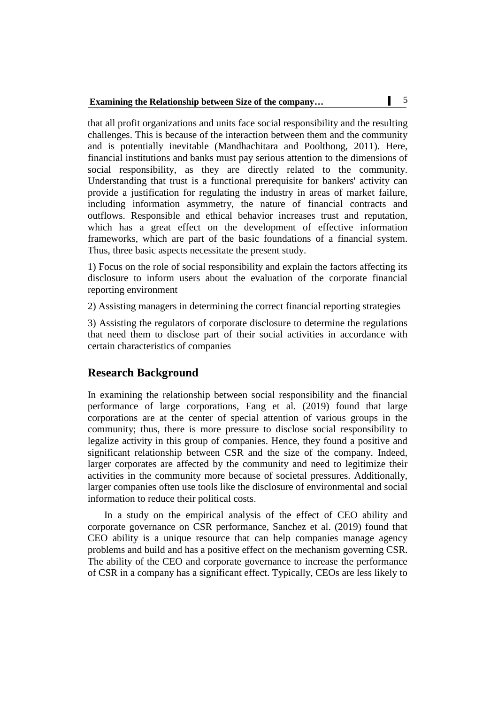that all profit organizations and units face social responsibility and the resulting challenges. This is because of the interaction between them and the community and is potentially inevitable (Mandhachitara and Poolthong, 2011). Here, financial institutions and banks must pay serious attention to the dimensions of social responsibility, as they are directly related to the community. Understanding that trust is a functional prerequisite for bankers' activity can provide a justification for regulating the industry in areas of market failure, including information asymmetry, the nature of financial contracts and outflows. Responsible and ethical behavior increases trust and reputation, which has a great effect on the development of effective information frameworks, which are part of the basic foundations of a financial system. Thus, three basic aspects necessitate the present study.

1) Focus on the role of social responsibility and explain the factors affecting its disclosure to inform users about the evaluation of the corporate financial reporting environment

2) Assisting managers in determining the correct financial reporting strategies

3) Assisting the regulators of corporate disclosure to determine the regulations that need them to disclose part of their social activities in accordance with certain characteristics of companies

# **Research Background**

In examining the relationship between social responsibility and the financial performance of large corporations, Fang et al. (2019) found that large corporations are at the center of special attention of various groups in the community; thus, there is more pressure to disclose social responsibility to legalize activity in this group of companies. Hence, they found a positive and significant relationship between CSR and the size of the company. Indeed, larger corporates are affected by the community and need to legitimize their activities in the community more because of societal pressures. Additionally, larger companies often use tools like the disclosure of environmental and social information to reduce their political costs.

In a study on the empirical analysis of the effect of CEO ability and corporate governance on CSR performance, Sanchez et al. (2019) found that CEO ability is a unique resource that can help companies manage agency problems and build and has a positive effect on the mechanism governing CSR. The ability of the CEO and corporate governance to increase the performance of CSR in a company has a significant effect. Typically, CEOs are less likely to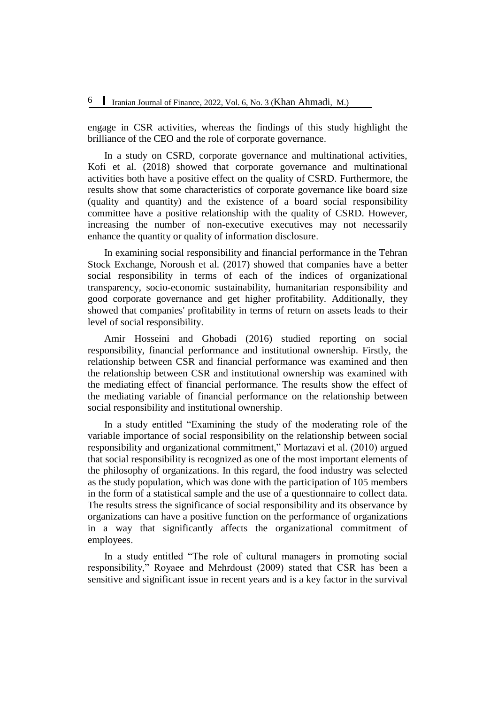engage in CSR activities, whereas the findings of this study highlight the brilliance of the CEO and the role of corporate governance.

In a study on CSRD, corporate governance and multinational activities, Kofi et al. (2018) showed that corporate governance and multinational activities both have a positive effect on the quality of CSRD. Furthermore, the results show that some characteristics of corporate governance like board size (quality and quantity) and the existence of a board social responsibility committee have a positive relationship with the quality of CSRD. However, increasing the number of non-executive executives may not necessarily enhance the quantity or quality of information disclosure.

In examining social responsibility and financial performance in the Tehran Stock Exchange, Noroush et al. (2017) showed that companies have a better social responsibility in terms of each of the indices of organizational transparency, socio-economic sustainability, humanitarian responsibility and good corporate governance and get higher profitability. Additionally, they showed that companies' profitability in terms of return on assets leads to their level of social responsibility.

Amir Hosseini and Ghobadi (2016) studied reporting on social responsibility, financial performance and institutional ownership. Firstly, the relationship between CSR and financial performance was examined and then the relationship between CSR and institutional ownership was examined with the mediating effect of financial performance. The results show the effect of the mediating variable of financial performance on the relationship between social responsibility and institutional ownership.

In a study entitled "Examining the study of the moderating role of the variable importance of social responsibility on the relationship between social responsibility and organizational commitment," Mortazavi et al. (2010) argued that social responsibility is recognized as one of the most important elements of the philosophy of organizations. In this regard, the food industry was selected as the study population, which was done with the participation of 105 members in the form of a statistical sample and the use of a questionnaire to collect data. The results stress the significance of social responsibility and its observance by organizations can have a positive function on the performance of organizations in a way that significantly affects the organizational commitment of employees.

In a study entitled "The role of cultural managers in promoting social responsibility," Royaee and Mehrdoust (2009) stated that CSR has been a sensitive and significant issue in recent years and is a key factor in the survival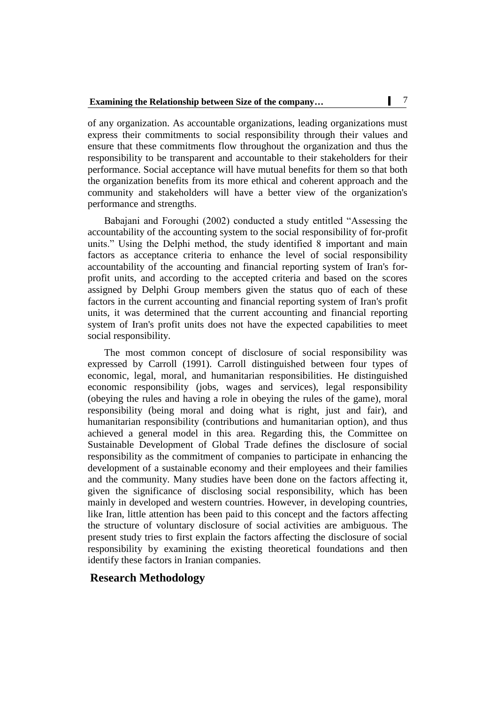of any organization. As accountable organizations, leading organizations must express their commitments to social responsibility through their values and ensure that these commitments flow throughout the organization and thus the responsibility to be transparent and accountable to their stakeholders for their performance. Social acceptance will have mutual benefits for them so that both the organization benefits from its more ethical and coherent approach and the community and stakeholders will have a better view of the organization's performance and strengths.

Babajani and Foroughi (2002) conducted a study entitled "Assessing the accountability of the accounting system to the social responsibility of for-profit units." Using the Delphi method, the study identified 8 important and main factors as acceptance criteria to enhance the level of social responsibility accountability of the accounting and financial reporting system of Iran's forprofit units, and according to the accepted criteria and based on the scores assigned by Delphi Group members given the status quo of each of these factors in the current accounting and financial reporting system of Iran's profit units, it was determined that the current accounting and financial reporting system of Iran's profit units does not have the expected capabilities to meet social responsibility.

The most common concept of disclosure of social responsibility was expressed by Carroll (1991). Carroll distinguished between four types of economic, legal, moral, and humanitarian responsibilities. He distinguished economic responsibility (jobs, wages and services), legal responsibility (obeying the rules and having a role in obeying the rules of the game), moral responsibility (being moral and doing what is right, just and fair), and humanitarian responsibility (contributions and humanitarian option), and thus achieved a general model in this area. Regarding this, the Committee on Sustainable Development of Global Trade defines the disclosure of social responsibility as the commitment of companies to participate in enhancing the development of a sustainable economy and their employees and their families and the community. Many studies have been done on the factors affecting it, given the significance of disclosing social responsibility, which has been mainly in developed and western countries. However, in developing countries, like Iran, little attention has been paid to this concept and the factors affecting the structure of voluntary disclosure of social activities are ambiguous. The present study tries to first explain the factors affecting the disclosure of social responsibility by examining the existing theoretical foundations and then identify these factors in Iranian companies.

# **Research Methodology**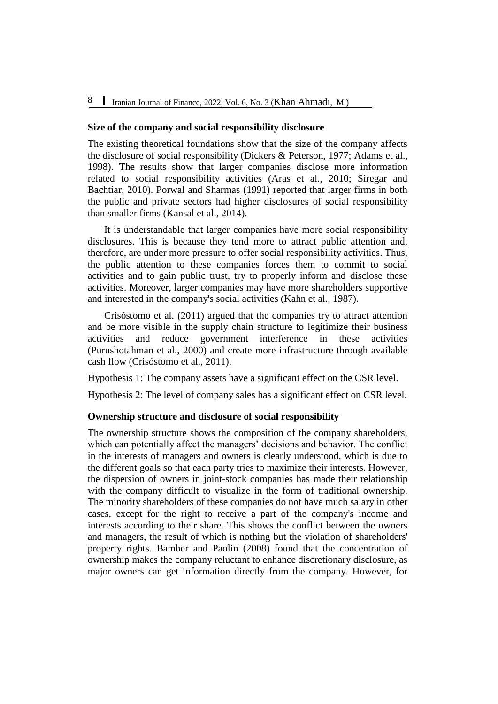#### **Size of the company and social responsibility disclosure**

The existing theoretical foundations show that the size of the company affects the disclosure of social responsibility (Dickers & Peterson, 1977; Adams et al., 1998). The results show that larger companies disclose more information related to social responsibility activities (Aras et al., 2010; Siregar and Bachtiar, 2010). Porwal and Sharmas (1991) reported that larger firms in both the public and private sectors had higher disclosures of social responsibility than smaller firms (Kansal et al., 2014).

It is understandable that larger companies have more social responsibility disclosures. This is because they tend more to attract public attention and, therefore, are under more pressure to offer social responsibility activities. Thus, the public attention to these companies forces them to commit to social activities and to gain public trust, try to properly inform and disclose these activities. Moreover, larger companies may have more shareholders supportive and interested in the company's social activities (Kahn et al., 1987).

Crisóstomo et al. (2011) argued that the companies try to attract attention and be more visible in the supply chain structure to legitimize their business activities and reduce government interference in these activities (Purushotahman et al., 2000) and create more infrastructure through available cash flow (Crisóstomo et al., 2011).

Hypothesis 1: The company assets have a significant effect on the CSR level.

Hypothesis 2: The level of company sales has a significant effect on CSR level.

#### **Ownership structure and disclosure of social responsibility**

The ownership structure shows the composition of the company shareholders, which can potentially affect the managers' decisions and behavior. The conflict in the interests of managers and owners is clearly understood, which is due to the different goals so that each party tries to maximize their interests. However, the dispersion of owners in joint-stock companies has made their relationship with the company difficult to visualize in the form of traditional ownership. The minority shareholders of these companies do not have much salary in other cases, except for the right to receive a part of the company's income and interests according to their share. This shows the conflict between the owners and managers, the result of which is nothing but the violation of shareholders' property rights. Bamber and Paolin (2008) found that the concentration of ownership makes the company reluctant to enhance discretionary disclosure, as major owners can get information directly from the company. However, for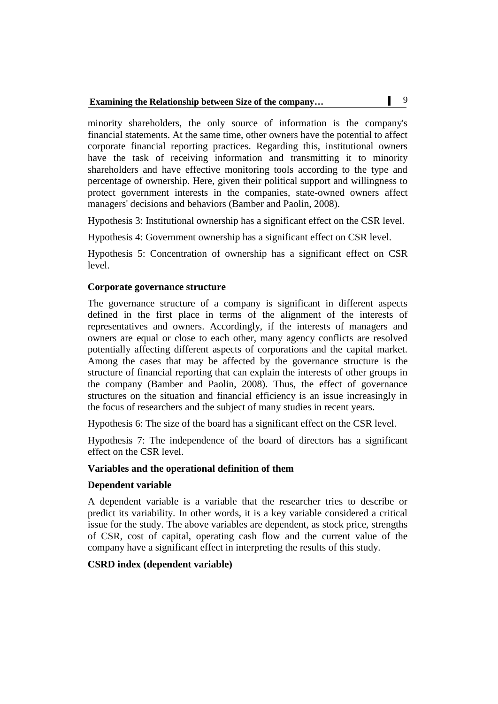minority shareholders, the only source of information is the company's financial statements. At the same time, other owners have the potential to affect corporate financial reporting practices. Regarding this, institutional owners have the task of receiving information and transmitting it to minority shareholders and have effective monitoring tools according to the type and percentage of ownership. Here, given their political support and willingness to protect government interests in the companies, state-owned owners affect managers' decisions and behaviors (Bamber and Paolin, 2008).

Hypothesis 3: Institutional ownership has a significant effect on the CSR level.

Hypothesis 4: Government ownership has a significant effect on CSR level.

Hypothesis 5: Concentration of ownership has a significant effect on CSR level.

#### **Corporate governance structure**

The governance structure of a company is significant in different aspects defined in the first place in terms of the alignment of the interests of representatives and owners. Accordingly, if the interests of managers and owners are equal or close to each other, many agency conflicts are resolved potentially affecting different aspects of corporations and the capital market. Among the cases that may be affected by the governance structure is the structure of financial reporting that can explain the interests of other groups in the company (Bamber and Paolin, 2008). Thus, the effect of governance structures on the situation and financial efficiency is an issue increasingly in the focus of researchers and the subject of many studies in recent years.

Hypothesis 6: The size of the board has a significant effect on the CSR level.

Hypothesis 7: The independence of the board of directors has a significant effect on the CSR level.

#### **Variables and the operational definition of them**

#### **Dependent variable**

A dependent variable is a variable that the researcher tries to describe or predict its variability. In other words, it is a key variable considered a critical issue for the study. The above variables are dependent, as stock price, strengths of CSR, cost of capital, operating cash flow and the current value of the company have a significant effect in interpreting the results of this study.

### **CSRD index (dependent variable)**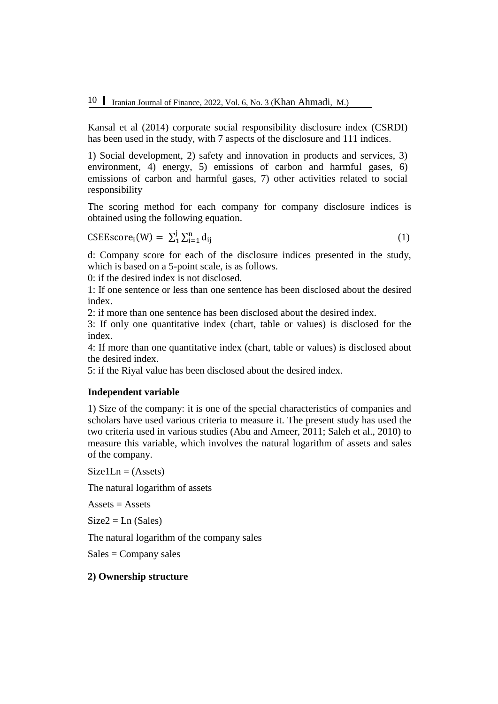Kansal et al (2014) corporate social responsibility disclosure index (CSRDI) has been used in the study, with 7 aspects of the disclosure and 111 indices.

1) Social development, 2) safety and innovation in products and services, 3) environment, 4) energy, 5) emissions of carbon and harmful gases, 6) emissions of carbon and harmful gases, 7) other activities related to social responsibility

The scoring method for each company for company disclosure indices is obtained using the following equation.

$$
CSEEscorei(W) = \sum_{i=1}^{j} \sum_{i=1}^{n} d_{ij}
$$
 (1)

d: Company score for each of the disclosure indices presented in the study, which is based on a 5-point scale, is as follows.

0: if the desired index is not disclosed.

1: If one sentence or less than one sentence has been disclosed about the desired index.

2: if more than one sentence has been disclosed about the desired index.

3: If only one quantitative index (chart, table or values) is disclosed for the index.

4: If more than one quantitative index (chart, table or values) is disclosed about the desired index.

5: if the Riyal value has been disclosed about the desired index.

#### **Independent variable**

1) Size of the company: it is one of the special characteristics of companies and scholars have used various criteria to measure it. The present study has used the two criteria used in various studies (Abu and Ameer, 2011; Saleh et al., 2010) to measure this variable, which involves the natural logarithm of assets and sales of the company.

 $Size1Ln = (Assets)$ 

The natural logarithm of assets

 $A$ ssets  $=$  Assets

 $Size2 = Ln (Sales)$ 

The natural logarithm of the company sales

 $Sales = Company sales$ 

#### **2) Ownership structure**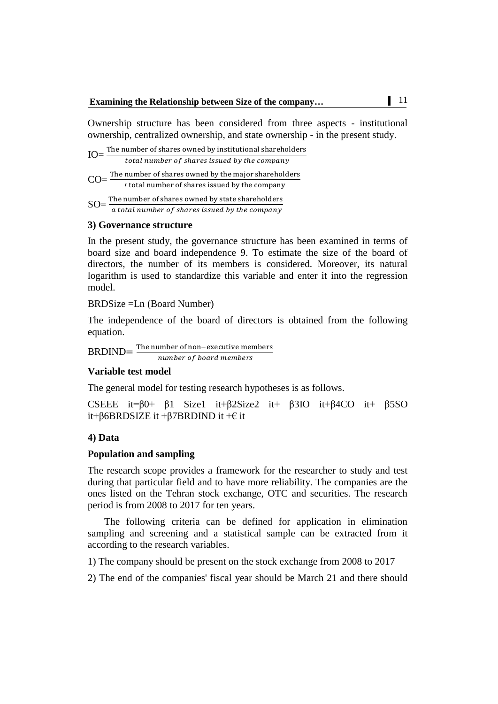Ownership structure has been considered from three aspects - institutional ownership, centralized ownership, and state ownership - in the present study.

 $IO=\frac{T}{I}$ total number of shares issued by the company T  $\text{CO}=\frac{1\text{m}}{l}$  $SO=\frac{T}{2}$ a total number of shares issued by the company

#### **3) Governance structure**

In the present study, the governance structure has been examined in terms of board size and board independence 9. To estimate the size of the board of directors, the number of its members is considered. Moreover, its natural logarithm is used to standardize this variable and enter it into the regression model.

BRDSize =Ln (Board Number)

The independence of the board of directors is obtained from the following equation.

 $BRDIND = \frac{T}{T}$ number of board members

#### **Variable test model**

The general model for testing research hypotheses is as follows.

```
CSEEE it=β0+ β1 Size1 it+β2Size2 it+ β3IO it+β4CO it+ β5SO
it+β6BRDSIZE it +β7BRDIND it +€ it
```
#### **4) Data**

#### **Population and sampling**

The research scope provides a framework for the researcher to study and test during that particular field and to have more reliability. The companies are the ones listed on the Tehran stock exchange, OTC and securities. The research period is from 2008 to 2017 for ten years.

The following criteria can be defined for application in elimination sampling and screening and a statistical sample can be extracted from it according to the research variables.

1) The company should be present on the stock exchange from 2008 to 2017

2) The end of the companies' fiscal year should be March 21 and there should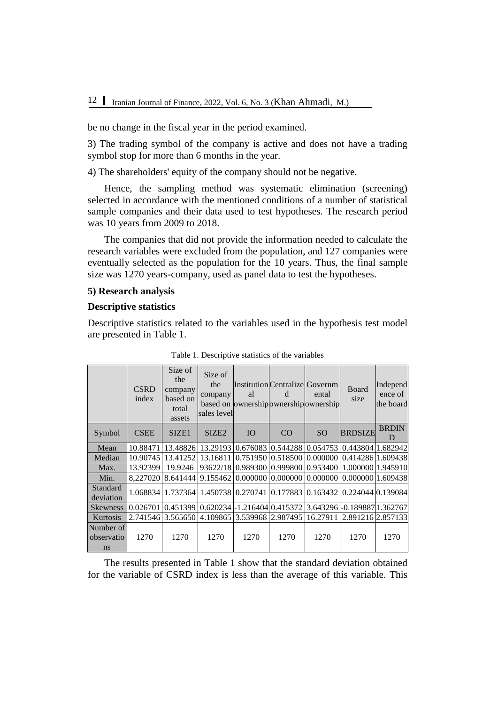be no change in the fiscal year in the period examined.

3) The trading symbol of the company is active and does not have a trading symbol stop for more than 6 months in the year.

4) The shareholders' equity of the company should not be negative.

Hence, the sampling method was systematic elimination (screening) selected in accordance with the mentioned conditions of a number of statistical sample companies and their data used to test hypotheses. The research period was 10 years from 2009 to 2018.

The companies that did not provide the information needed to calculate the research variables were excluded from the population, and 127 companies were eventually selected as the population for the 10 years. Thus, the final sample size was 1270 years-company, used as panel data to test the hypotheses.

#### **5) Research analysis**

#### **Descriptive statistics**

Descriptive statistics related to the variables used in the hypothesis test model are presented in Table 1.

|                                          | <b>CSRD</b><br>index | Size of<br>the<br>company<br>based on<br>total<br>assets | Size of<br>the<br>company<br>sales level | Institution Centralize Governm<br>al<br>based on ownership ownership ownership | d    | ental         | Board<br>size                                                                        | Independ<br>ence of<br>the board |
|------------------------------------------|----------------------|----------------------------------------------------------|------------------------------------------|--------------------------------------------------------------------------------|------|---------------|--------------------------------------------------------------------------------------|----------------------------------|
| Symbol                                   | <b>CSEE</b>          | SIZE <sub>1</sub>                                        | SIZE <sub>2</sub>                        | IO                                                                             | CO   | <sub>SO</sub> | <b>BRDSIZE</b>                                                                       | <b>BRDIN</b><br>$\mathsf{D}$     |
| Mean                                     | 10.88471             |                                                          |                                          | 13.48826 13.29193 0.676083 0.544288 0.054753                                   |      |               | 0.443804 1.682942                                                                    |                                  |
| Median                                   | 10.90745             | 13.41252                                                 |                                          | 13.16811 0.751950 0.518500 0.000000                                            |      |               | 0.414286 1.609438                                                                    |                                  |
| Max.                                     | 13.92399             | 19.9246                                                  |                                          | 93622/1810.98930010.99980010.953400                                            |      |               | 1.000000 1.945910                                                                    |                                  |
| Min.                                     | 8.227020             | $(8.641444)$ $(9.155462)$ $(0.000000)$ $(0.000000)$      |                                          |                                                                                |      | 0.000000      | 0.000000 1.609438                                                                    |                                  |
| <b>Standard</b><br>deviation             |                      |                                                          |                                          |                                                                                |      |               | 1.068834   1.737364   1.450738   0.270741   0.177883   0.163432   0.224044  0.139084 |                                  |
| <b>Skewness</b>                          | 0.026701             | 0.451399  0.620234  -1.216404   0.415372                 |                                          |                                                                                |      |               | 3.643296 - 0.189887 1.362767                                                         |                                  |
| Kurtosis                                 |                      | 2.741546 3.565650 4.109865 3.539968 2.987495 16.27911    |                                          |                                                                                |      |               | 2.891216 2.857133                                                                    |                                  |
| Number of<br>observatio<br><sub>ns</sub> | 1270                 | 1270                                                     | 1270                                     | 1270                                                                           | 1270 | 1270          | 1270                                                                                 | 1270                             |

Table 1. Descriptive statistics of the variables

The results presented in Table 1 show that the standard deviation obtained for the variable of CSRD index is less than the average of this variable. This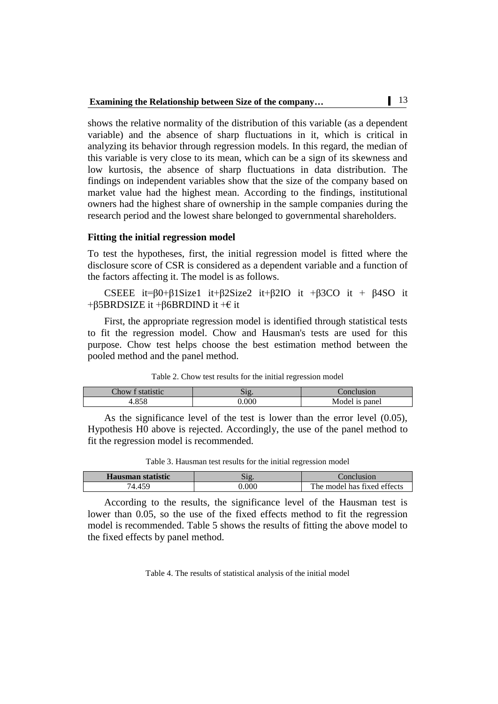shows the relative normality of the distribution of this variable (as a dependent variable) and the absence of sharp fluctuations in it, which is critical in analyzing its behavior through regression models. In this regard, the median of this variable is very close to its mean, which can be a sign of its skewness and low kurtosis, the absence of sharp fluctuations in data distribution. The findings on independent variables show that the size of the company based on market value had the highest mean. According to the findings, institutional owners had the highest share of ownership in the sample companies during the research period and the lowest share belonged to governmental shareholders.

#### **Fitting the initial regression model**

To test the hypotheses, first, the initial regression model is fitted where the disclosure score of CSR is considered as a dependent variable and a function of the factors affecting it. The model is as follows.

CSEEE it=β0+β1Size1 it+β2Size2 it+β2IO it +β3CO it + β4SO it +β5BRDSIZE it +β6BRDIND it +€ it

First, the appropriate regression model is identified through statistical tests to fit the regression model. Chow and Hausman's tests are used for this purpose. Chow test helps choose the best estimation method between the pooled method and the panel method.

| Chow<br>atotictio<br>ISLIC | $\sim$<br>$\cup$ | usion          |
|----------------------------|------------------|----------------|
| o e o                      | 000.             | Model is panel |

Table 2. Chow test results for the initial regression model

As the significance level of the test is lower than the error level (0.05), Hypothesis H0 above is rejected. Accordingly, the use of the panel method to fit the regression model is recommended.

| <b>Hausman statistic</b> |       | `onclusion                  |
|--------------------------|-------|-----------------------------|
| $A \subseteq C$          | 0.000 | The model has fixed effects |

According to the results, the significance level of the Hausman test is lower than 0.05, so the use of the fixed effects method to fit the regression model is recommended. Table 5 shows the results of fitting the above model to the fixed effects by panel method.

Table 4. The results of statistical analysis of the initial model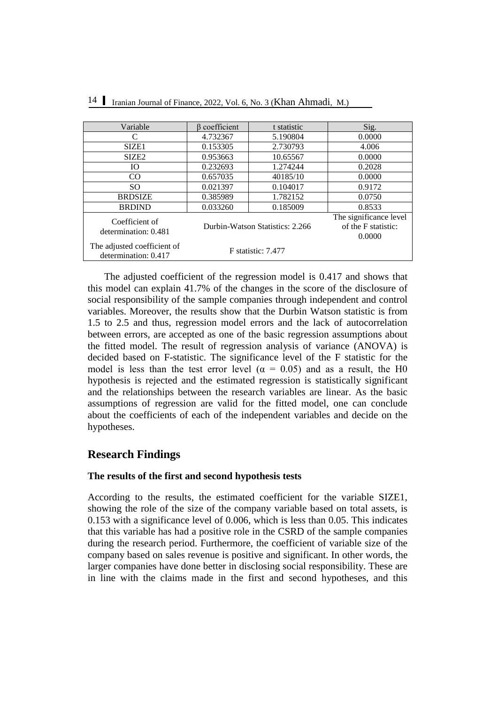| Variable                                            | $\beta$ coefficient | t statistic                     | Sig.                                                    |
|-----------------------------------------------------|---------------------|---------------------------------|---------------------------------------------------------|
| C                                                   | 4.732367            | 5.190804                        | 0.0000                                                  |
| SIZE <sub>1</sub>                                   | 0.153305            | 2.730793                        | 4.006                                                   |
| SIZE <sub>2</sub>                                   | 0.953663            | 10.65567                        | 0.0000                                                  |
| IО                                                  | 0.232693            | 1.274244                        | 0.2028                                                  |
| $_{\rm CO}$                                         | 0.657035            | 40185/10                        | 0.0000                                                  |
| SO.                                                 | 0.021397            | 0.104017                        | 0.9172                                                  |
| <b>BRDSIZE</b>                                      | 0.385989            | 1.782152                        | 0.0750                                                  |
| <b>BRDIND</b>                                       | 0.033260            | 0.185009                        | 0.8533                                                  |
| Coefficient of<br>determination: 0.481              |                     | Durbin-Watson Statistics: 2.266 | The significance level<br>of the F statistic:<br>0.0000 |
| The adjusted coefficient of<br>determination: 0.417 |                     | F statistic: 7.477              |                                                         |

The adjusted coefficient of the regression model is 0.417 and shows that this model can explain 41.7% of the changes in the score of the disclosure of social responsibility of the sample companies through independent and control variables. Moreover, the results show that the Durbin Watson statistic is from 1.5 to 2.5 and thus, regression model errors and the lack of autocorrelation between errors, are accepted as one of the basic regression assumptions about the fitted model. The result of regression analysis of variance (ANOVA) is decided based on F-statistic. The significance level of the F statistic for the model is less than the test error level ( $\alpha = 0.05$ ) and as a result, the H0 hypothesis is rejected and the estimated regression is statistically significant and the relationships between the research variables are linear. As the basic assumptions of regression are valid for the fitted model, one can conclude about the coefficients of each of the independent variables and decide on the hypotheses.

# **Research Findings**

#### **The results of the first and second hypothesis tests**

According to the results, the estimated coefficient for the variable SIZE1, showing the role of the size of the company variable based on total assets, is 0.153 with a significance level of 0.006, which is less than 0.05. This indicates that this variable has had a positive role in the CSRD of the sample companies during the research period. Furthermore, the coefficient of variable size of the company based on sales revenue is positive and significant. In other words, the larger companies have done better in disclosing social responsibility. These are in line with the claims made in the first and second hypotheses, and this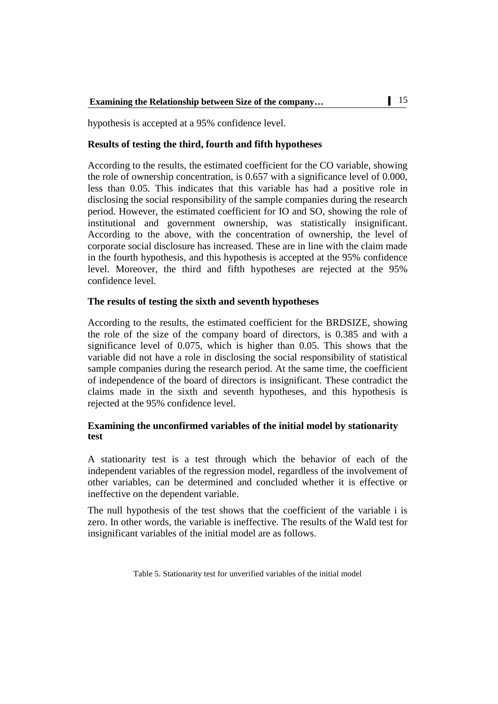hypothesis is accepted at a 95% confidence level.

### **Results of testing the third, fourth and fifth hypotheses**

According to the results, the estimated coefficient for the CO variable, showing the role of ownership concentration, is 0.657 with a significance level of 0.000, less than 0.05. This indicates that this variable has had a positive role in disclosing the social responsibility of the sample companies during the research period. However, the estimated coefficient for IO and SO, showing the role of institutional and government ownership, was statistically insignificant. According to the above, with the concentration of ownership, the level of corporate social disclosure has increased. These are in line with the claim made in the fourth hypothesis, and this hypothesis is accepted at the 95% confidence level. Moreover, the third and fifth hypotheses are rejected at the 95% confidence level.

### **The results of testing the sixth and seventh hypotheses**

According to the results, the estimated coefficient for the BRDSIZE, showing the role of the size of the company board of directors, is 0.385 and with a significance level of 0.075, which is higher than 0.05. This shows that the variable did not have a role in disclosing the social responsibility of statistical sample companies during the research period. At the same time, the coefficient of independence of the board of directors is insignificant. These contradict the claims made in the sixth and seventh hypotheses, and this hypothesis is rejected at the 95% confidence level.

### **Examining the unconfirmed variables of the initial model by stationarity test**

A stationarity test is a test through which the behavior of each of the independent variables of the regression model, regardless of the involvement of other variables, can be determined and concluded whether it is effective or ineffective on the dependent variable.

The null hypothesis of the test shows that the coefficient of the variable i is zero. In other words, the variable is ineffective. The results of the Wald test for insignificant variables of the initial model are as follows.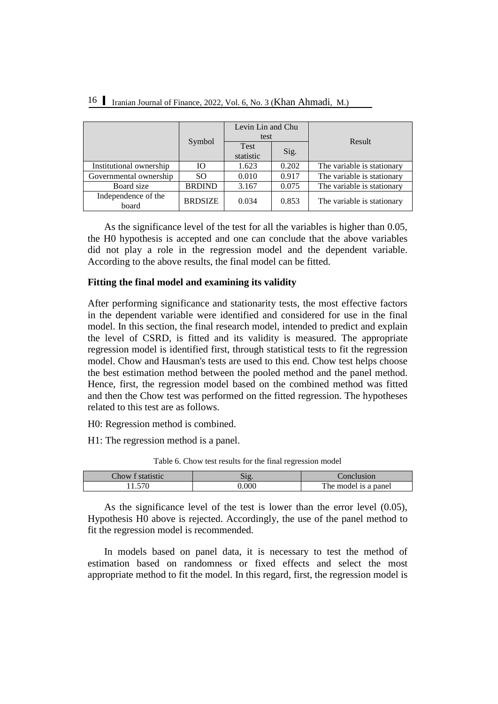|                              | Levin Lin and Chu<br>test |                   |       | Result                     |  |
|------------------------------|---------------------------|-------------------|-------|----------------------------|--|
|                              | Symbol                    | Test<br>statistic | Sig.  |                            |  |
| Institutional ownership      | Ю                         | 1.623             | 0.202 | The variable is stationary |  |
| Governmental ownership       | SO.                       | 0.010             | 0.917 | The variable is stationary |  |
| Board size                   | <b>BRDIND</b>             | 3.167             | 0.075 | The variable is stationary |  |
| Independence of the<br>board | <b>BRDSIZE</b>            | 0.034             | 0.853 | The variable is stationary |  |

As the significance level of the test for all the variables is higher than 0.05, the H0 hypothesis is accepted and one can conclude that the above variables did not play a role in the regression model and the dependent variable. According to the above results, the final model can be fitted.

# **Fitting the final model and examining its validity**

After performing significance and stationarity tests, the most effective factors in the dependent variable were identified and considered for use in the final model. In this section, the final research model, intended to predict and explain the level of CSRD, is fitted and its validity is measured. The appropriate regression model is identified first, through statistical tests to fit the regression model. Chow and Hausman's tests are used to this end. Chow test helps choose the best estimation method between the pooled method and the panel method. Hence, first, the regression model based on the combined method was fitted and then the Chow test was performed on the fitted regression. The hypotheses related to this test are as follows.

H0: Regression method is combined.

H1: The regression method is a panel.

| Chow | onclusion'           |
|------|----------------------|
| .000 | The model is a panel |

Table 6. Chow test results for the final regression model

As the significance level of the test is lower than the error level (0.05), Hypothesis H0 above is rejected. Accordingly, the use of the panel method to fit the regression model is recommended.

In models based on panel data, it is necessary to test the method of estimation based on randomness or fixed effects and select the most appropriate method to fit the model. In this regard, first, the regression model is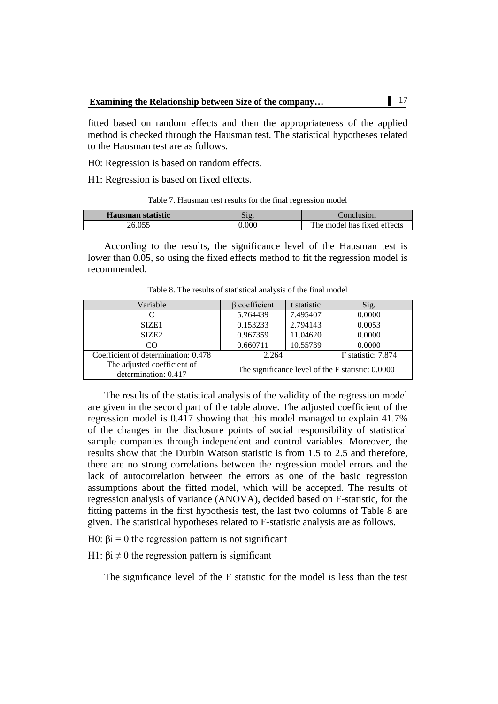fitted based on random effects and then the appropriateness of the applied method is checked through the Hausman test. The statistical hypotheses related to the Hausman test are as follows.

H0: Regression is based on random effects.

H1: Regression is based on fixed effects.

Table 7. Hausman test results for the final regression model

| Hausman statistic | 512   | Conclusion                  |
|-------------------|-------|-----------------------------|
| 26.055            | 0.000 | The model has fixed effects |

According to the results, the significance level of the Hausman test is lower than 0.05, so using the fixed effects method to fit the regression model is recommended.

| Variable                                            | coefficient                                       | t statistic | Sig.   |  |
|-----------------------------------------------------|---------------------------------------------------|-------------|--------|--|
|                                                     | 5.764439                                          | 7.495407    | 0.0000 |  |
| SIZE <sub>1</sub>                                   | 0.153233                                          | 2.794143    | 0.0053 |  |
| SIZE <sub>2</sub>                                   | 0.967359                                          | 11.04620    | 0.0000 |  |
| CO                                                  | 0.660711                                          | 10.55739    | 0.0000 |  |
| Coefficient of determination: 0.478                 | F statistic: 7.874<br>2.264                       |             |        |  |
| The adjusted coefficient of<br>determination: 0.417 | The significance level of the F statistic: 0.0000 |             |        |  |

Table 8. The results of statistical analysis of the final model

The results of the statistical analysis of the validity of the regression model are given in the second part of the table above. The adjusted coefficient of the regression model is 0.417 showing that this model managed to explain 41.7% of the changes in the disclosure points of social responsibility of statistical sample companies through independent and control variables. Moreover, the results show that the Durbin Watson statistic is from 1.5 to 2.5 and therefore, there are no strong correlations between the regression model errors and the lack of autocorrelation between the errors as one of the basic regression assumptions about the fitted model, which will be accepted. The results of regression analysis of variance (ANOVA), decided based on F-statistic, for the fitting patterns in the first hypothesis test, the last two columns of Table 8 are given. The statistical hypotheses related to F-statistic analysis are as follows.

H0:  $βi = 0$  the regression pattern is not significant

H1:  $βi \neq 0$  the regression pattern is significant

The significance level of the F statistic for the model is less than the test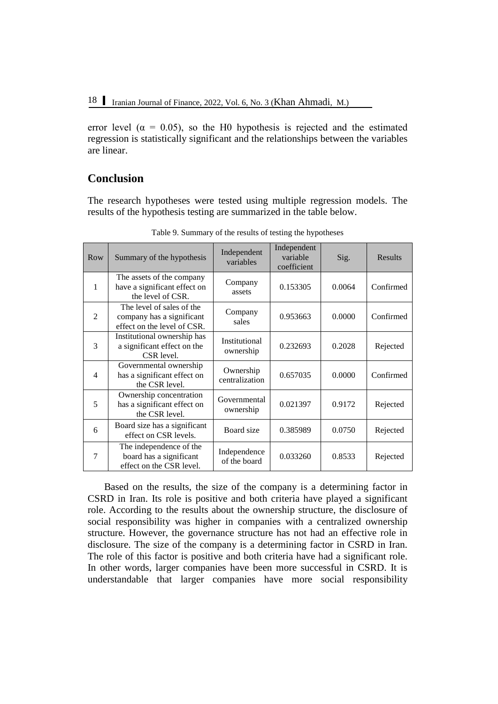error level ( $\alpha = 0.05$ ), so the H0 hypothesis is rejected and the estimated regression is statistically significant and the relationships between the variables are linear.

# **Conclusion**

The research hypotheses were tested using multiple regression models. The results of the hypothesis testing are summarized in the table below.

| Row            | Summary of the hypothesis                                                             | Independent<br>variables     | Independent<br>variable<br>coefficient | Sig.   | Results   |
|----------------|---------------------------------------------------------------------------------------|------------------------------|----------------------------------------|--------|-----------|
| 1              | The assets of the company<br>have a significant effect on<br>the level of CSR.        | Company<br>assets            | 0.153305                               | 0.0064 | Confirmed |
| 2              | The level of sales of the<br>company has a significant<br>effect on the level of CSR. | Company<br>sales             | 0.953663                               | 0.0000 | Confirmed |
| 3              | Institutional ownership has<br>a significant effect on the<br>CSR level.              | Institutional<br>ownership   | 0.232693                               | 0.2028 | Rejected  |
| $\overline{4}$ | Governmental ownership<br>has a significant effect on<br>the CSR level.               | Ownership<br>centralization  | 0.657035                               | 0.0000 | Confirmed |
| 5              | Ownership concentration<br>has a significant effect on<br>the CSR level.              | Governmental<br>ownership    | 0.021397                               | 0.9172 | Rejected  |
| 6              | Board size has a significant<br>effect on CSR levels.                                 | Board size                   | 0.385989                               | 0.0750 | Rejected  |
| $\overline{7}$ | The independence of the<br>board has a significant<br>effect on the CSR level.        | Independence<br>of the board | 0.033260                               | 0.8533 | Rejected  |

Table 9. Summary of the results of testing the hypotheses

Based on the results, the size of the company is a determining factor in CSRD in Iran. Its role is positive and both criteria have played a significant role. According to the results about the ownership structure, the disclosure of social responsibility was higher in companies with a centralized ownership structure. However, the governance structure has not had an effective role in disclosure. The size of the company is a determining factor in CSRD in Iran. The role of this factor is positive and both criteria have had a significant role. In other words, larger companies have been more successful in CSRD. It is understandable that larger companies have more social responsibility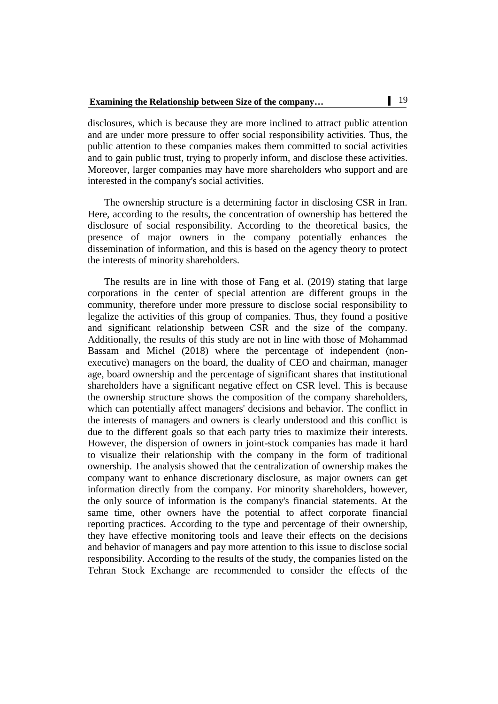disclosures, which is because they are more inclined to attract public attention and are under more pressure to offer social responsibility activities. Thus, the public attention to these companies makes them committed to social activities and to gain public trust, trying to properly inform, and disclose these activities. Moreover, larger companies may have more shareholders who support and are interested in the company's social activities.

The ownership structure is a determining factor in disclosing CSR in Iran. Here, according to the results, the concentration of ownership has bettered the disclosure of social responsibility. According to the theoretical basics, the presence of major owners in the company potentially enhances the dissemination of information, and this is based on the agency theory to protect the interests of minority shareholders.

The results are in line with those of Fang et al. (2019) stating that large corporations in the center of special attention are different groups in the community, therefore under more pressure to disclose social responsibility to legalize the activities of this group of companies. Thus, they found a positive and significant relationship between CSR and the size of the company. Additionally, the results of this study are not in line with those of Mohammad Bassam and Michel (2018) where the percentage of independent (nonexecutive) managers on the board, the duality of CEO and chairman, manager age, board ownership and the percentage of significant shares that institutional shareholders have a significant negative effect on CSR level. This is because the ownership structure shows the composition of the company shareholders, which can potentially affect managers' decisions and behavior. The conflict in the interests of managers and owners is clearly understood and this conflict is due to the different goals so that each party tries to maximize their interests. However, the dispersion of owners in joint-stock companies has made it hard to visualize their relationship with the company in the form of traditional ownership. The analysis showed that the centralization of ownership makes the company want to enhance discretionary disclosure, as major owners can get information directly from the company. For minority shareholders, however, the only source of information is the company's financial statements. At the same time, other owners have the potential to affect corporate financial reporting practices. According to the type and percentage of their ownership, they have effective monitoring tools and leave their effects on the decisions and behavior of managers and pay more attention to this issue to disclose social responsibility. According to the results of the study, the companies listed on the Tehran Stock Exchange are recommended to consider the effects of the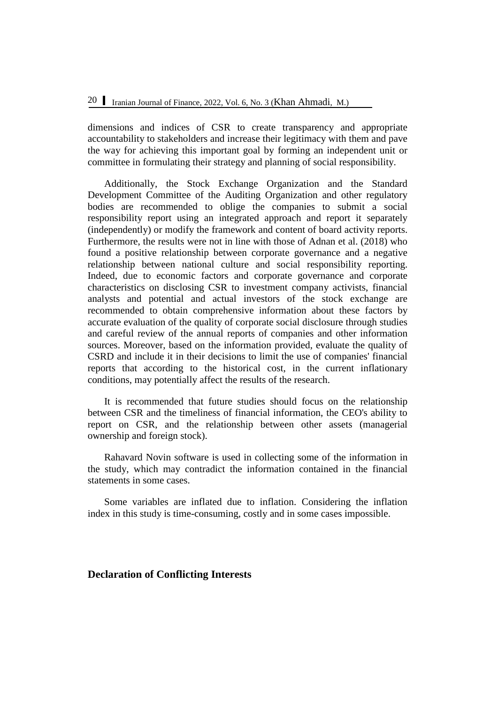dimensions and indices of CSR to create transparency and appropriate accountability to stakeholders and increase their legitimacy with them and pave the way for achieving this important goal by forming an independent unit or committee in formulating their strategy and planning of social responsibility.

Additionally, the Stock Exchange Organization and the Standard Development Committee of the Auditing Organization and other regulatory bodies are recommended to oblige the companies to submit a social responsibility report using an integrated approach and report it separately (independently) or modify the framework and content of board activity reports. Furthermore, the results were not in line with those of Adnan et al. (2018) who found a positive relationship between corporate governance and a negative relationship between national culture and social responsibility reporting. Indeed, due to economic factors and corporate governance and corporate characteristics on disclosing CSR to investment company activists, financial analysts and potential and actual investors of the stock exchange are recommended to obtain comprehensive information about these factors by accurate evaluation of the quality of corporate social disclosure through studies and careful review of the annual reports of companies and other information sources. Moreover, based on the information provided, evaluate the quality of CSRD and include it in their decisions to limit the use of companies' financial reports that according to the historical cost, in the current inflationary conditions, may potentially affect the results of the research.

It is recommended that future studies should focus on the relationship between CSR and the timeliness of financial information, the CEO's ability to report on CSR, and the relationship between other assets (managerial ownership and foreign stock).

Rahavard Novin software is used in collecting some of the information in the study, which may contradict the information contained in the financial statements in some cases.

Some variables are inflated due to inflation. Considering the inflation index in this study is time-consuming, costly and in some cases impossible.

# **Declaration of Conflicting Interests**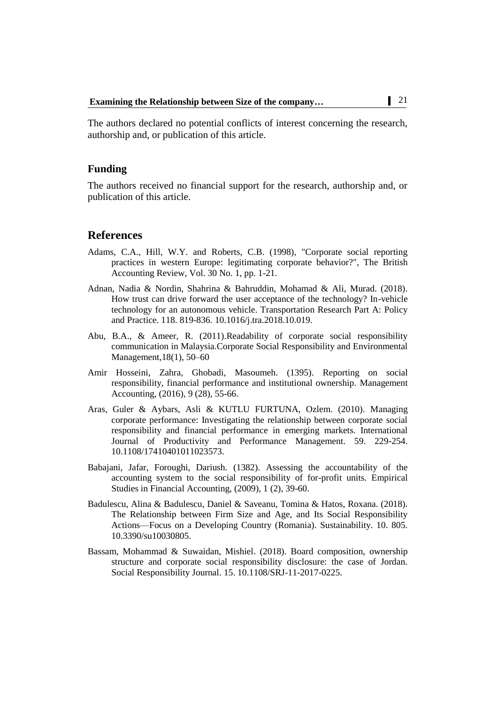The authors declared no potential conflicts of interest concerning the research, authorship and, or publication of this article.

### **Funding**

The authors received no financial support for the research, authorship and, or publication of this article.

### **References**

- Adams, C.A., Hill, W.Y. and Roberts, C.B. (1998), "Corporate social reporting practices in western Europe: legitimating corporate behavior?", The British Accounting Review, Vol. 30 No. 1, pp. 1-21.
- Adnan, Nadia & Nordin, Shahrina & Bahruddin, Mohamad & Ali, Murad. (2018). How trust can drive forward the user acceptance of the technology? In-vehicle technology for an autonomous vehicle. Transportation Research Part A: Policy and Practice. 118. 819-836. 10.1016/j.tra.2018.10.019.
- Abu, B.A., & Ameer, R. (2011).Readability of corporate social responsibility communication in Malaysia.Corporate Social Responsibility and Environmental Management,18(1), 50–60
- Amir Hosseini, Zahra, Ghobadi, Masoumeh. (1395). Reporting on social responsibility, financial performance and institutional ownership. Management Accounting, (2016), 9 (28), 55-66.
- Aras, Guler & Aybars, Asli & KUTLU FURTUNA, Ozlem. (2010). Managing corporate performance: Investigating the relationship between corporate social responsibility and financial performance in emerging markets. International Journal of Productivity and Performance Management. 59. 229-254. 10.1108/17410401011023573.
- Babajani, Jafar, Foroughi, Dariush. (1382). Assessing the accountability of the accounting system to the social responsibility of for-profit units. Empirical Studies in Financial Accounting, (2009), 1 (2), 39-60.
- Badulescu, Alina & Badulescu, Daniel & Saveanu, Tomina & Hatos, Roxana. (2018). The Relationship between Firm Size and Age, and Its Social Responsibility Actions—Focus on a Developing Country (Romania). Sustainability. 10. 805. 10.3390/su10030805.
- Bassam, Mohammad & Suwaidan, Mishiel. (2018). Board composition, ownership structure and corporate social responsibility disclosure: the case of Jordan. Social Responsibility Journal. 15. 10.1108/SRJ-11-2017-0225.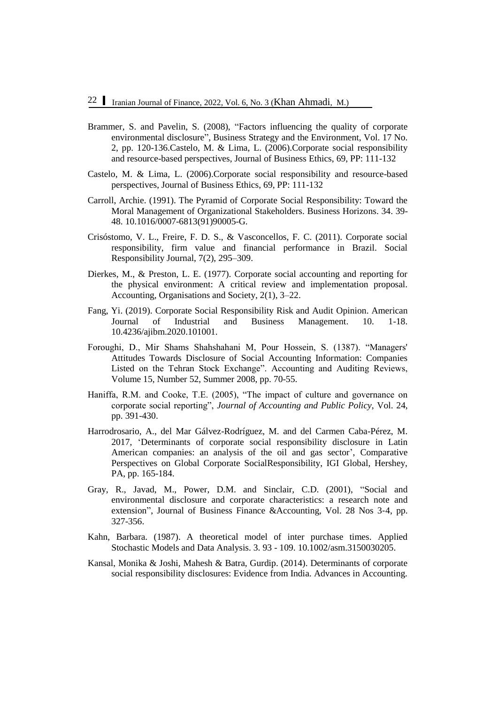- Brammer, S. and Pavelin, S. (2008), "Factors influencing the quality of corporate environmental disclosure", Business Strategy and the Environment, Vol. 17 No. 2, pp. 120-136.Castelo, M. & Lima, L. (2006).Corporate social responsibility and resource-based perspectives, Journal of Business Ethics, 69, PP: 111-132
- Castelo, M. & Lima, L. (2006).Corporate social responsibility and resource-based perspectives, Journal of Business Ethics, 69, PP: 111-132
- Carroll, Archie. (1991). The Pyramid of Corporate Social Responsibility: Toward the Moral Management of Organizational Stakeholders. Business Horizons. 34. 39- 48. 10.1016/0007-6813(91)90005-G.
- Crisóstomo, V. L., Freire, F. D. S., & Vasconcellos, F. C. (2011). Corporate social responsibility, firm value and financial performance in Brazil. Social Responsibility Journal, 7(2), 295–309.
- Dierkes, M., & Preston, L. E. (1977). Corporate social accounting and reporting for the physical environment: A critical review and implementation proposal. Accounting, Organisations and Society, 2(1), 3–22.
- Fang, Yi. (2019). Corporate Social Responsibility Risk and Audit Opinion. American Journal of Industrial and Business Management. 10. 1-18. 10.4236/ajibm.2020.101001.
- Foroughi, D., Mir Shams Shahshahani M, Pour Hossein, S. (1387). "Managers' Attitudes Towards Disclosure of Social Accounting Information: Companies Listed on the Tehran Stock Exchange". Accounting and Auditing Reviews, Volume 15, Number 52, Summer 2008, pp. 70-55.
- Haniffa, R.M. and Cooke, T.E. (2005), "The impact of culture and governance on corporate social reporting", *Journal of Accounting and Public Policy*, Vol. 24, pp. 391-430.
- Harrodrosario, A., del Mar Gálvez-Rodríguez, M. and del Carmen Caba-Pérez, M. 2017, 'Determinants of corporate social responsibility disclosure in Latin American companies: an analysis of the oil and gas sector', Comparative Perspectives on Global Corporate SocialResponsibility, IGI Global, Hershey, PA, pp. 165-184.
- Gray, R., Javad, M., Power, D.M. and Sinclair, C.D. (2001), "Social and environmental disclosure and corporate characteristics: a research note and extension", Journal of Business Finance &Accounting, Vol. 28 Nos 3‐4, pp. 327-356.
- Kahn, Barbara. (1987). A theoretical model of inter purchase times. Applied Stochastic Models and Data Analysis. 3. 93 - 109. 10.1002/asm.3150030205.
- Kansal, Monika & Joshi, Mahesh & Batra, Gurdip. (2014). Determinants of corporate social responsibility disclosures: Evidence from India. Advances in Accounting.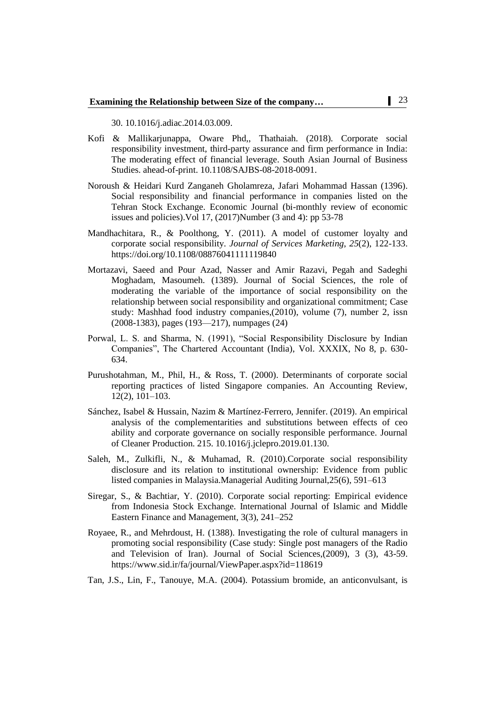30. 10.1016/j.adiac.2014.03.009.

- Kofi & Mallikarjunappa, Oware Phd,, Thathaiah. (2018). Corporate social responsibility investment, third-party assurance and firm performance in India: The moderating effect of financial leverage. South Asian Journal of Business Studies. ahead-of-print. 10.1108/SAJBS-08-2018-0091.
- Noroush & Heidari Kurd Zanganeh Gholamreza, Jafari Mohammad Hassan (1396). Social responsibility and financial performance in companies listed on the Tehran Stock Exchange. Economic Journal (bi-monthly review of economic issues and policies).Vol 17, (2017)Number (3 and 4): pp 53-78
- Mandhachitara, R., & Poolthong, Y. (2011). A model of customer loyalty and corporate social responsibility. *Journal of Services Marketing*, *25*(2), 122-133. <https://doi.org/10.1108/08876041111119840>
- Mortazavi, Saeed and Pour Azad, Nasser and Amir Razavi, Pegah and Sadeghi Moghadam, Masoumeh. (1389). Journal of Social Sciences, the role of moderating the variable of the importance of social responsibility on the relationship between social responsibility and organizational commitment; Case study: Mashhad food industry companies,(2010), volume (7), number 2, issn (2008-1383), pages (193—217), numpages (24)
- Porwal, L. S. and Sharma, N. (1991), "Social Responsibility Disclosure by Indian Companies", The Chartered Accountant (India), Vol. XXXIX, No 8, p. 630- 634.
- Purushotahman, M., Phil, H., & Ross, T. (2000). Determinants of corporate social reporting practices of listed Singapore companies. An Accounting Review, 12(2), 101–103.
- Sánchez, Isabel & Hussain, Nazim & Martínez-Ferrero, Jennifer. (2019). An empirical analysis of the complementarities and substitutions between effects of ceo ability and corporate governance on socially responsible performance. Journal of Cleaner Production. 215. 10.1016/j.jclepro.2019.01.130.
- Saleh, M., Zulkifli, N., & Muhamad, R. (2010).Corporate social responsibility disclosure and its relation to institutional ownership: Evidence from public listed companies in Malaysia.Managerial Auditing Journal,25(6), 591–613
- Siregar, S., & Bachtiar, Y. (2010). Corporate social reporting: Empirical evidence from Indonesia Stock Exchange. International Journal of Islamic and Middle Eastern Finance and Management, 3(3), 241–252
- Royaee, R., and Mehrdoust, H. (1388). Investigating the role of cultural managers in promoting social responsibility (Case study: Single post managers of the Radio and Television of Iran). Journal of Social Sciences,(2009), 3 (3), 43-59. <https://www.sid.ir/fa/journal/ViewPaper.aspx?id=118619>
- Tan, J.S., Lin, F., Tanouye, M.A. (2004). Potassium bromide, an anticonvulsant, is